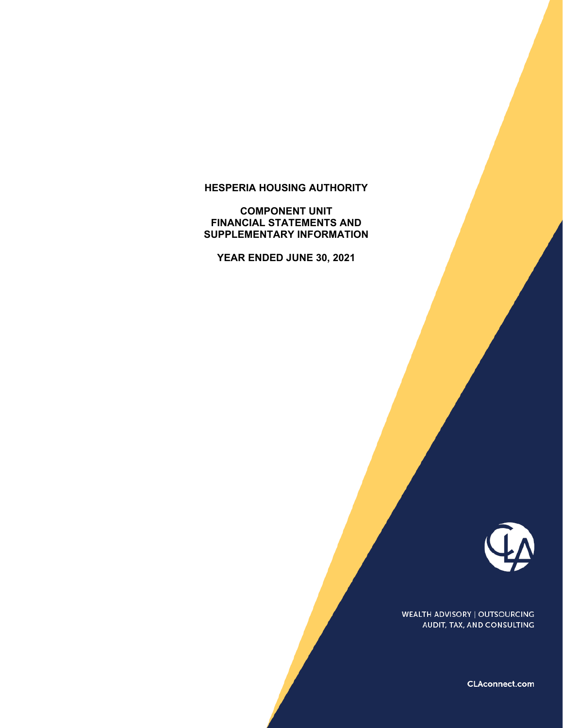# **HESPERIA HOUSING AUTHORITY**

**COMPONENT UNIT FINANCIAL STATEMENTS AND SUPPLEMENTARY INFORMATION** 

**YEAR ENDED JUNE 30, 2021** 



**WEALTH ADVISORY | OUTSOURCING** AUDIT, TAX, AND CONSULTING

CLAconnect.com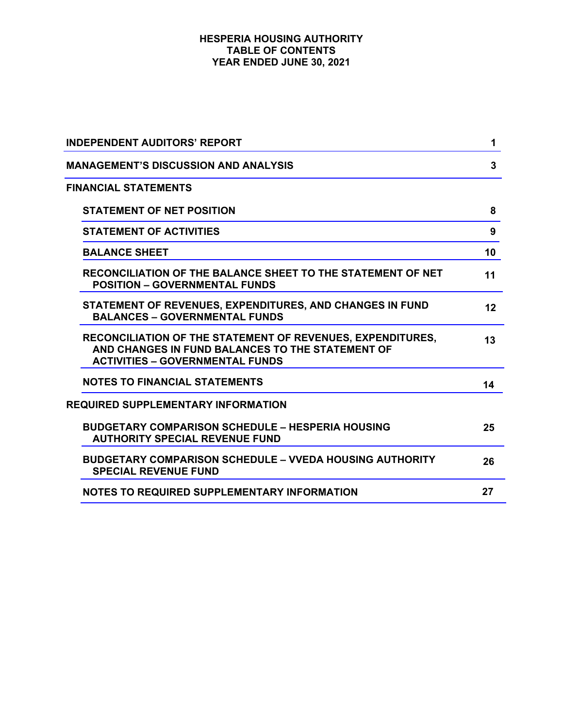### **HESPERIA HOUSING AUTHORITY TABLE OF CONTENTS YEAR ENDED JUNE 30, 2021**

| <b>INDEPENDENT AUDITORS' REPORT</b>                                                                                                                             | 1  |
|-----------------------------------------------------------------------------------------------------------------------------------------------------------------|----|
| <b>MANAGEMENT'S DISCUSSION AND ANALYSIS</b>                                                                                                                     | 3  |
| <b>FINANCIAL STATEMENTS</b>                                                                                                                                     |    |
| <b>STATEMENT OF NET POSITION</b>                                                                                                                                | 8  |
| <b>STATEMENT OF ACTIVITIES</b>                                                                                                                                  | 9  |
| <b>BALANCE SHEET</b>                                                                                                                                            | 10 |
| RECONCILIATION OF THE BALANCE SHEET TO THE STATEMENT OF NET<br><b>POSITION - GOVERNMENTAL FUNDS</b>                                                             | 11 |
| STATEMENT OF REVENUES, EXPENDITURES, AND CHANGES IN FUND<br><b>BALANCES - GOVERNMENTAL FUNDS</b>                                                                | 12 |
| <b>RECONCILIATION OF THE STATEMENT OF REVENUES, EXPENDITURES,</b><br>AND CHANGES IN FUND BALANCES TO THE STATEMENT OF<br><b>ACTIVITIES - GOVERNMENTAL FUNDS</b> | 13 |
| <b>NOTES TO FINANCIAL STATEMENTS</b>                                                                                                                            | 14 |
| <b>REQUIRED SUPPLEMENTARY INFORMATION</b>                                                                                                                       |    |
| <b>BUDGETARY COMPARISON SCHEDULE - HESPERIA HOUSING</b><br><b>AUTHORITY SPECIAL REVENUE FUND</b>                                                                | 25 |
| <b>BUDGETARY COMPARISON SCHEDULE – VVEDA HOUSING AUTHORITY</b><br><b>SPECIAL REVENUE FUND</b>                                                                   | 26 |
| NOTES TO REQUIRED SUPPLEMENTARY INFORMATION                                                                                                                     | 27 |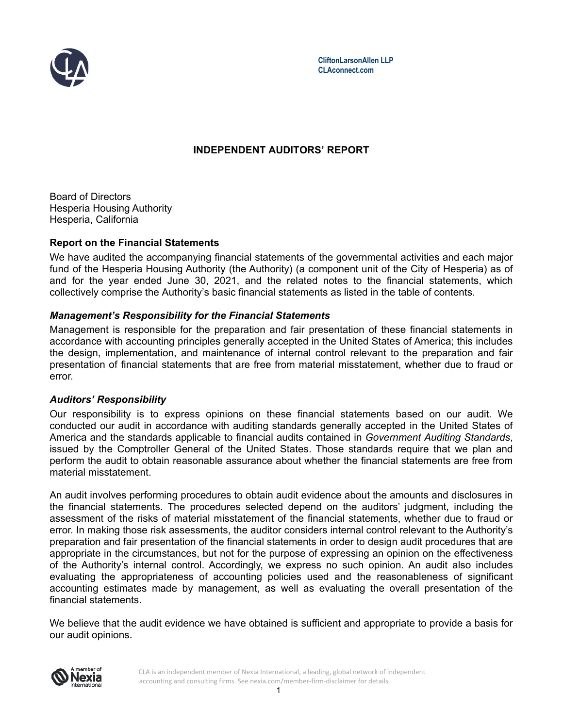<span id="page-2-0"></span>

# **INDEPENDENT AUDITORS' REPORT**

Board of Directors Hesperia Housing Authority Hesperia, California

### **Report on the Financial Statements**

We have audited the accompanying financial statements of the governmental activities and each major fund of the Hesperia Housing Authority (the Authority) (a component unit of the City of Hesperia) as of and for the year ended June 30, 2021, and the related notes to the financial statements, which collectively comprise the Authority's basic financial statements as listed in the table of contents.

### *Management's Responsibility for the Financial Statements*

Management is responsible for the preparation and fair presentation of these financial statements in accordance with accounting principles generally accepted in the United States of America; this includes the design, implementation, and maintenance of internal control relevant to the preparation and fair presentation of financial statements that are free from material misstatement, whether due to fraud or error.

#### *Auditors' Responsibility*

Our responsibility is to express opinions on these financial statements based on our audit. We conducted our audit in accordance with auditing standards generally accepted in the United States of America and the standards applicable to financial audits contained in *Government Auditing Standards*, issued by the Comptroller General of the United States. Those standards require that we plan and perform the audit to obtain reasonable assurance about whether the financial statements are free from material misstatement.

An audit involves performing procedures to obtain audit evidence about the amounts and disclosures in the financial statements. The procedures selected depend on the auditors' judgment, including the assessment of the risks of material misstatement of the financial statements, whether due to fraud or error. In making those risk assessments, the auditor considers internal control relevant to the Authority's preparation and fair presentation of the financial statements in order to design audit procedures that are appropriate in the circumstances, but not for the purpose of expressing an opinion on the effectiveness of the Authority's internal control. Accordingly, we express no such opinion. An audit also includes evaluating the appropriateness of accounting policies used and the reasonableness of significant accounting estimates made by management, as well as evaluating the overall presentation of the financial statements.

We believe that the audit evidence we have obtained is sufficient and appropriate to provide a basis for our audit opinions.



CLA is an independent member of Nexia International, a leading, global network of independent accounting and consulting firms. See nexia.com/member-firm-disclaimer for details.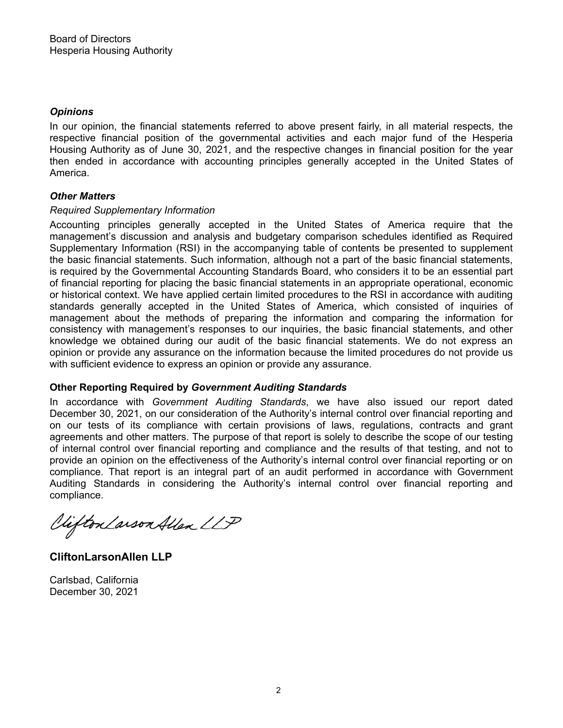### *Opinions*

In our opinion, the financial statements referred to above present fairly, in all material respects, the respective financial position of the governmental activities and each major fund of the Hesperia Housing Authority as of June 30, 2021, and the respective changes in financial position for the year then ended in accordance with accounting principles generally accepted in the United States of America.

### *Other Matters*

#### *Required Supplementary Information*

Accounting principles generally accepted in the United States of America require that the management's discussion and analysis and budgetary comparison schedules identified as Required Supplementary Information (RSI) in the accompanying table of contents be presented to supplement the basic financial statements. Such information, although not a part of the basic financial statements, is required by the Governmental Accounting Standards Board, who considers it to be an essential part of financial reporting for placing the basic financial statements in an appropriate operational, economic or historical context. We have applied certain limited procedures to the RSI in accordance with auditing standards generally accepted in the United States of America, which consisted of inquiries of management about the methods of preparing the information and comparing the information for consistency with management's responses to our inquiries, the basic financial statements, and other knowledge we obtained during our audit of the basic financial statements. We do not express an opinion or provide any assurance on the information because the limited procedures do not provide us with sufficient evidence to express an opinion or provide any assurance.

### **Other Reporting Required by** *Government Auditing Standards*

In accordance with *Government Auditing Standards*, we have also issued our report dated December 30, 2021, on our consideration of the Authority's internal control over financial reporting and on our tests of its compliance with certain provisions of laws, regulations, contracts and grant agreements and other matters. The purpose of that report is solely to describe the scope of our testing of internal control over financial reporting and compliance and the results of that testing, and not to provide an opinion on the effectiveness of the Authority's internal control over financial reporting or on compliance. That report is an integral part of an audit performed in accordance with Government Auditing Standards in considering the Authority's internal control over financial reporting and compliance.

Viifton Larson Allen LLP

**CliftonLarsonAllen LLP** 

Carlsbad, California December 30, 2021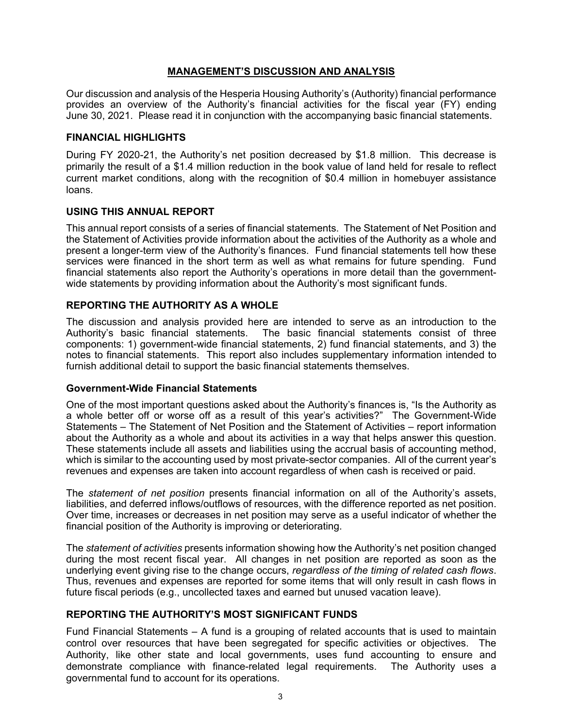### **MANAGEMENT'S DISCUSSION AND ANALYSIS**

<span id="page-4-0"></span>Our discussion and analysis of the Hesperia Housing Authority's (Authority) financial performance provides an overview of the Authority's financial activities for the fiscal year (FY) ending June 30, 2021. Please read it in conjunction with the accompanying basic financial statements.

#### **FINANCIAL HIGHLIGHTS**

During FY 2020-21, the Authority's net position decreased by \$1.8 million. This decrease is primarily the result of a \$1.4 million reduction in the book value of land held for resale to reflect current market conditions, along with the recognition of \$0.4 million in homebuyer assistance loans.

### **USING THIS ANNUAL REPORT**

This annual report consists of a series of financial statements. The Statement of Net Position and the Statement of Activities provide information about the activities of the Authority as a whole and present a longer-term view of the Authority's finances. Fund financial statements tell how these services were financed in the short term as well as what remains for future spending. Fund financial statements also report the Authority's operations in more detail than the governmentwide statements by providing information about the Authority's most significant funds.

### **REPORTING THE AUTHORITY AS A WHOLE**

The discussion and analysis provided here are intended to serve as an introduction to the Authority's basic financial statements. The basic financial statements consist of three components: 1) government-wide financial statements, 2) fund financial statements, and 3) the notes to financial statements. This report also includes supplementary information intended to furnish additional detail to support the basic financial statements themselves.

#### **Government-Wide Financial Statements**

One of the most important questions asked about the Authority's finances is, "Is the Authority as a whole better off or worse off as a result of this year's activities?" The Government-Wide Statements – The Statement of Net Position and the Statement of Activities – report information about the Authority as a whole and about its activities in a way that helps answer this question. These statements include all assets and liabilities using the accrual basis of accounting method, which is similar to the accounting used by most private-sector companies. All of the current year's revenues and expenses are taken into account regardless of when cash is received or paid.

The *statement of net position* presents financial information on all of the Authority's assets, liabilities, and deferred inflows/outflows of resources, with the difference reported as net position. Over time, increases or decreases in net position may serve as a useful indicator of whether the financial position of the Authority is improving or deteriorating.

The *statement of activities* presents information showing how the Authority's net position changed during the most recent fiscal year. All changes in net position are reported as soon as the underlying event giving rise to the change occurs, *regardless of the timing of related cash flows*. Thus, revenues and expenses are reported for some items that will only result in cash flows in future fiscal periods (e.g., uncollected taxes and earned but unused vacation leave).

#### **REPORTING THE AUTHORITY'S MOST SIGNIFICANT FUNDS**

Fund Financial Statements – A fund is a grouping of related accounts that is used to maintain control over resources that have been segregated for specific activities or objectives. The Authority, like other state and local governments, uses fund accounting to ensure and demonstrate compliance with finance-related legal requirements. The Authority uses a governmental fund to account for its operations.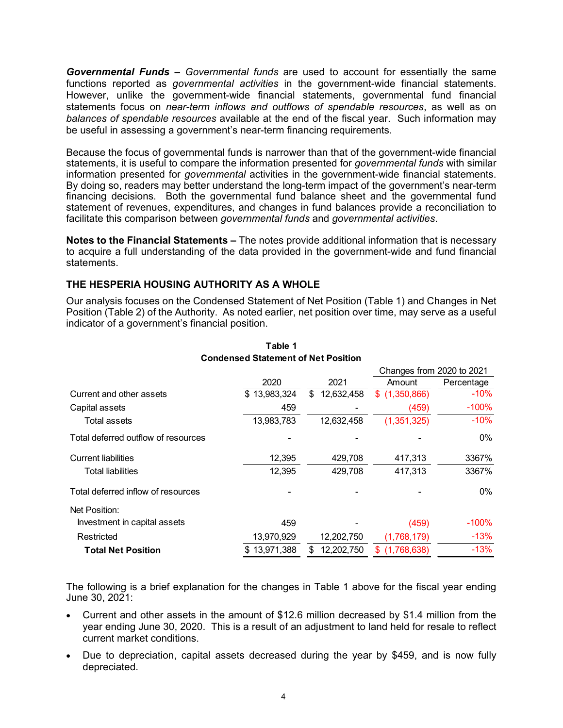*Governmental Funds – Governmental funds* are used to account for essentially the same functions reported as *governmental activities* in the government-wide financial statements. However, unlike the government-wide financial statements, governmental fund financial statements focus on *near-term inflows and outflows of spendable resources*, as well as on *balances of spendable resources* available at the end of the fiscal year. Such information may be useful in assessing a government's near-term financing requirements.

Because the focus of governmental funds is narrower than that of the government-wide financial statements, it is useful to compare the information presented for *governmental funds* with similar information presented for *governmental* activities in the government-wide financial statements. By doing so, readers may better understand the long-term impact of the government's near-term financing decisions. Both the governmental fund balance sheet and the governmental fund statement of revenues, expenditures, and changes in fund balances provide a reconciliation to facilitate this comparison between *governmental funds* and *governmental activities*.

**Notes to the Financial Statements –** The notes provide additional information that is necessary to acquire a full understanding of the data provided in the government-wide and fund financial statements.

# **THE HESPERIA HOUSING AUTHORITY AS A WHOLE**

Our analysis focuses on the Condensed Statement of Net Position (Table 1) and Changes in Net Position (Table 2) of the Authority. As noted earlier, net position over time, may serve as a useful indicator of a government's financial position.

|                                     |              |                  | Changes from 2020 to 2021 |            |
|-------------------------------------|--------------|------------------|---------------------------|------------|
|                                     | 2020         | 2021             | Amount                    | Percentage |
| Current and other assets            | \$13,983,324 | 12,632,458<br>\$ | \$(1,350,866)             | $-10%$     |
| Capital assets                      | 459          |                  | (459)                     | $-100\%$   |
| Total assets                        | 13,983,783   | 12,632,458       | (1,351,325)               | $-10%$     |
| Total deferred outflow of resources |              |                  |                           | $0\%$      |
| <b>Current liabilities</b>          | 12,395       | 429,708          | 417,313                   | 3367%      |
| <b>Total liabilities</b>            | 12,395       | 429,708          | 417,313                   | 3367%      |
| Total deferred inflow of resources  |              |                  |                           | 0%         |
| Net Position:                       |              |                  |                           |            |
| Investment in capital assets        | 459          |                  | (459)                     | $-100\%$   |
| Restricted                          | 13,970,929   | 12,202,750       | (1,768,179)               | $-13%$     |
| <b>Total Net Position</b>           | \$13,971,388 | 12,202,750<br>\$ | \$(1,768,638)             | $-13%$     |

### **Table 1 Condensed Statement of Net Position**

The following is a brief explanation for the changes in Table 1 above for the fiscal year ending June 30, 2021:

- Current and other assets in the amount of \$12.6 million decreased by \$1.4 million from the year ending June 30, 2020. This is a result of an adjustment to land held for resale to reflect current market conditions.
- Due to depreciation, capital assets decreased during the year by \$459, and is now fully depreciated.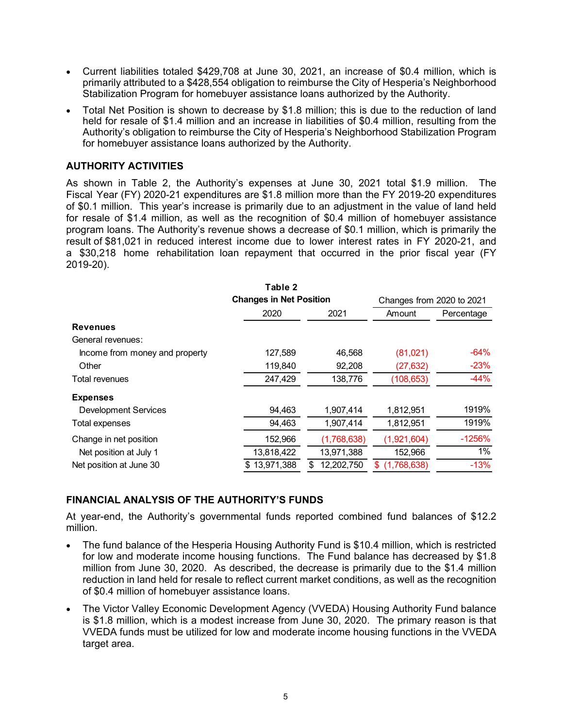- Current liabilities totaled \$429,708 at June 30, 2021, an increase of \$0.4 million, which is primarily attributed to a \$428,554 obligation to reimburse the City of Hesperia's Neighborhood Stabilization Program for homebuyer assistance loans authorized by the Authority.
- Total Net Position is shown to decrease by \$1.8 million; this is due to the reduction of land held for resale of \$1.4 million and an increase in liabilities of \$0.4 million, resulting from the Authority's obligation to reimburse the City of Hesperia's Neighborhood Stabilization Program for homebuyer assistance loans authorized by the Authority.

# **AUTHORITY ACTIVITIES**

As shown in Table 2, the Authority's expenses at June 30, 2021 total \$1.9 million. The Fiscal Year (FY) 2020-21 expenditures are \$1.8 million more than the FY 2019-20 expenditures of \$0.1 million. This year's increase is primarily due to an adjustment in the value of land held for resale of \$1.4 million, as well as the recognition of \$0.4 million of homebuyer assistance program loans. The Authority's revenue shows a decrease of \$0.1 million, which is primarily the result of \$81,021 in reduced interest income due to lower interest rates in FY 2020-21, and a \$30,218 home rehabilitation loan repayment that occurred in the prior fiscal year (FY 2019-20).

|                                | Table 2                        |                  |                           |            |  |  |
|--------------------------------|--------------------------------|------------------|---------------------------|------------|--|--|
|                                | <b>Changes in Net Position</b> |                  | Changes from 2020 to 2021 |            |  |  |
|                                | 2021<br>2020                   |                  | Amount                    | Percentage |  |  |
| <b>Revenues</b>                |                                |                  |                           |            |  |  |
| General revenues:              |                                |                  |                           |            |  |  |
| Income from money and property | 127,589                        | 46,568           | (81,021)                  | $-64%$     |  |  |
| Other                          | 119,840                        | 92,208           | (27, 632)                 | $-23%$     |  |  |
| Total revenues                 | 247,429                        | 138,776          | (108, 653)                | $-44%$     |  |  |
| <b>Expenses</b>                |                                |                  |                           |            |  |  |
| <b>Development Services</b>    | 94,463                         | 1,907,414        | 1,812,951                 | 1919%      |  |  |
| Total expenses                 | 94,463                         | 1,907,414        | 1,812,951                 | 1919%      |  |  |
| Change in net position         | 152,966                        | (1,768,638)      | (1,921,604)               | $-1256%$   |  |  |
| Net position at July 1         | 13,818,422                     | 13,971,388       | 152,966                   | $1\%$      |  |  |
| Net position at June 30        | 13,971,388<br>\$               | 12,202,750<br>\$ | (1,768,638)<br>\$         | $-13%$     |  |  |

# **FINANCIAL ANALYSIS OF THE AUTHORITY'S FUNDS**

At year-end, the Authority's governmental funds reported combined fund balances of \$12.2 million.

- The fund balance of the Hesperia Housing Authority Fund is \$10.4 million, which is restricted for low and moderate income housing functions. The Fund balance has decreased by \$1.8 million from June 30, 2020. As described, the decrease is primarily due to the \$1.4 million reduction in land held for resale to reflect current market conditions, as well as the recognition of \$0.4 million of homebuyer assistance loans.
- The Victor Valley Economic Development Agency (VVEDA) Housing Authority Fund balance is \$1.8 million, which is a modest increase from June 30, 2020. The primary reason is that VVEDA funds must be utilized for low and moderate income housing functions in the VVEDA target area.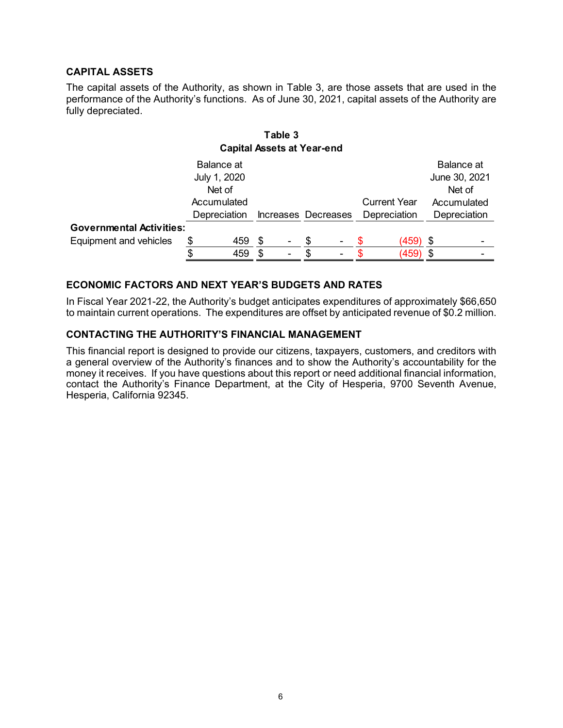### **CAPITAL ASSETS**

The capital assets of the Authority, as shown in Table 3, are those assets that are used in the performance of the Authority's functions. As of June 30, 2021, capital assets of the Authority are fully depreciated.

|                                   |              |     |     | Table 3 |                     |  |                     |              |               |  |
|-----------------------------------|--------------|-----|-----|---------|---------------------|--|---------------------|--------------|---------------|--|
| <b>Capital Assets at Year-end</b> |              |     |     |         |                     |  |                     |              |               |  |
|                                   | Balance at   |     |     |         |                     |  |                     |              | Balance at    |  |
|                                   | July 1, 2020 |     |     |         |                     |  |                     |              | June 30, 2021 |  |
|                                   | Net of       |     |     |         |                     |  |                     |              | Net of        |  |
|                                   | Accumulated  |     |     |         |                     |  | <b>Current Year</b> |              | Accumulated   |  |
|                                   | Depreciation |     |     |         | Increases Decreases |  | Depreciation        |              | Depreciation  |  |
| <b>Governmental Activities:</b>   |              |     |     |         |                     |  |                     |              |               |  |
| Equipment and vehicles            | \$           | 459 | \$  |         | \$                  |  | -S                  | (459)        | -5            |  |
|                                   |              | 459 | \$. |         |                     |  |                     | $\sqrt{459}$ |               |  |

### **ECONOMIC FACTORS AND NEXT YEAR'S BUDGETS AND RATES**

In Fiscal Year 2021-22, the Authority's budget anticipates expenditures of approximately \$66,650 to maintain current operations. The expenditures are offset by anticipated revenue of \$0.2 million.

### **CONTACTING THE AUTHORITY'S FINANCIAL MANAGEMENT**

This financial report is designed to provide our citizens, taxpayers, customers, and creditors with a general overview of the Authority's finances and to show the Authority's accountability for the money it receives. If you have questions about this report or need additional financial information, contact the Authority's Finance Department, at the City of Hesperia, 9700 Seventh Avenue, Hesperia, California 92345.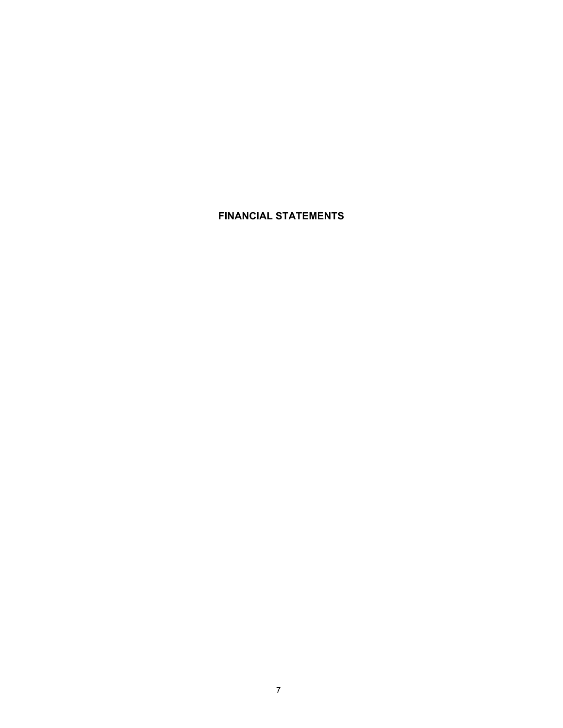# **FINANCIAL STATEMENTS**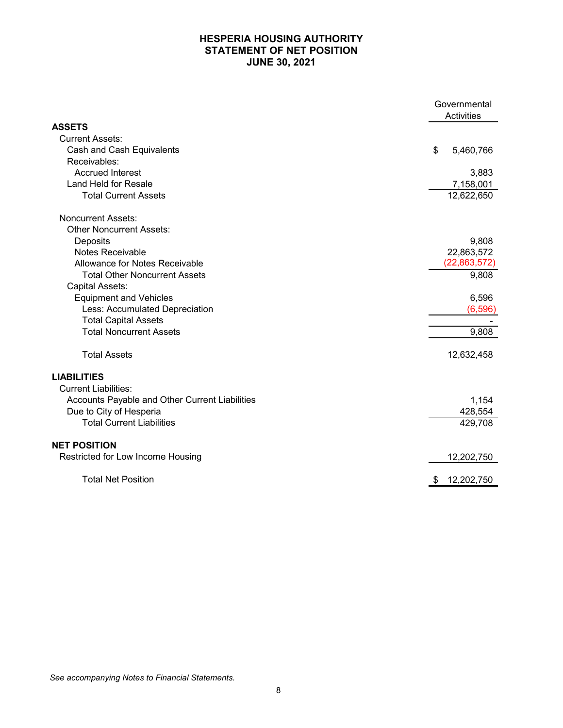# **HESPERIA HOUSING AUTHORITY STATEMENT OF NET POSITION JUNE 30, 2021**

<span id="page-9-0"></span>

|                                                | Governmental<br>Activities |
|------------------------------------------------|----------------------------|
| <b>ASSETS</b>                                  |                            |
| <b>Current Assets:</b>                         |                            |
| Cash and Cash Equivalents                      | \$<br>5,460,766            |
| Receivables:                                   |                            |
| <b>Accrued Interest</b>                        | 3,883                      |
| Land Held for Resale                           | 7,158,001                  |
| <b>Total Current Assets</b>                    | 12,622,650                 |
| <b>Noncurrent Assets:</b>                      |                            |
| <b>Other Noncurrent Assets:</b>                |                            |
| Deposits                                       | 9,808                      |
| <b>Notes Receivable</b>                        | 22,863,572                 |
| Allowance for Notes Receivable                 | (22, 863, 572)             |
| <b>Total Other Noncurrent Assets</b>           | 9,808                      |
| Capital Assets:                                |                            |
| <b>Equipment and Vehicles</b>                  | 6,596                      |
| Less: Accumulated Depreciation                 | (6, 596)                   |
| <b>Total Capital Assets</b>                    |                            |
| <b>Total Noncurrent Assets</b>                 | 9,808                      |
| <b>Total Assets</b>                            | 12,632,458                 |
| <b>LIABILITIES</b>                             |                            |
| <b>Current Liabilities:</b>                    |                            |
| Accounts Payable and Other Current Liabilities | 1,154                      |
| Due to City of Hesperia                        | 428,554                    |
| <b>Total Current Liabilities</b>               | 429,708                    |
| <b>NET POSITION</b>                            |                            |
| Restricted for Low Income Housing              | 12,202,750                 |
| <b>Total Net Position</b>                      | 12,202,750                 |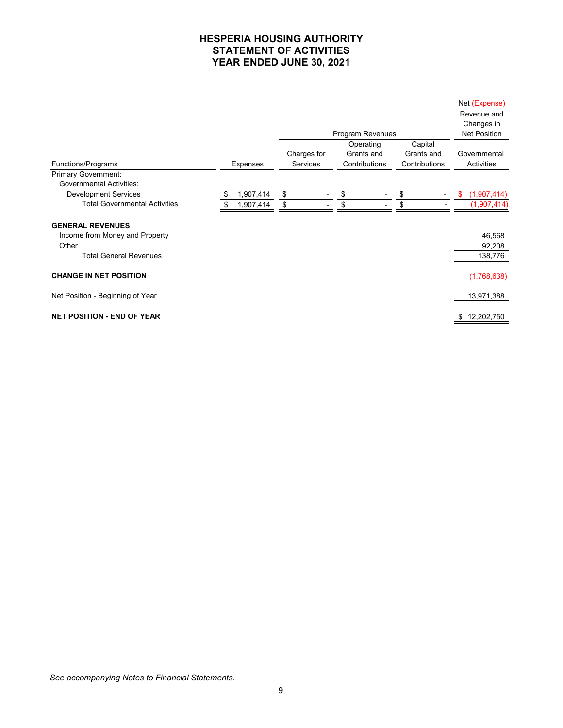### **HESPERIA HOUSING AUTHORITY STATEMENT OF ACTIVITIES YEAR ENDED JUNE 30, 2021**

<span id="page-10-0"></span>

|                 |                 |               |               | Net (Expense)       |
|-----------------|-----------------|---------------|---------------|---------------------|
|                 |                 |               |               | Revenue and         |
|                 |                 |               |               | Changes in          |
|                 |                 |               |               | <b>Net Position</b> |
|                 |                 | Operating     | Capital       |                     |
|                 | Charges for     | Grants and    | Grants and    | Governmental        |
| <b>Expenses</b> | <b>Services</b> | Contributions | Contributions | Activities          |
|                 |                 |               |               |                     |
|                 |                 |               |               |                     |
| 1,907,414<br>S. | \$              | \$            | \$            | (1,907,414)<br>\$   |
| 1,907,414       | \$              |               |               | (1,907,414)         |
|                 |                 |               |               |                     |
|                 |                 |               |               | 46,568              |
|                 |                 |               |               | 92,208              |
|                 |                 |               |               | 138,776             |
|                 |                 |               |               | (1,768,638)         |
|                 |                 |               |               | 13,971,388          |
|                 |                 |               |               | 12,202,750          |
|                 |                 |               |               | Program Revenues    |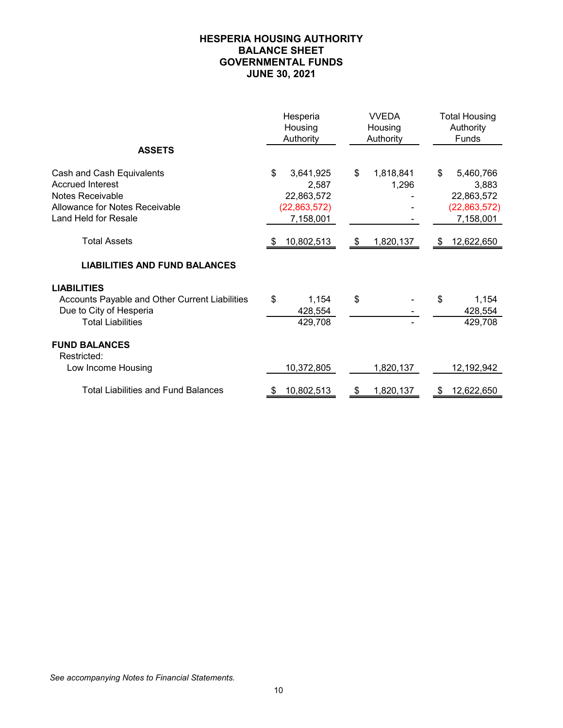### **HESPERIA HOUSING AUTHORITY BALANCE SHEET GOVERNMENTAL FUNDS JUNE 30, 2021**

<span id="page-11-0"></span>

|                                                                                                                                    | Hesperia<br>Housing<br>Authority                                    | <b>Total Housing</b><br>Authority<br>Funds |                                                                     |
|------------------------------------------------------------------------------------------------------------------------------------|---------------------------------------------------------------------|--------------------------------------------|---------------------------------------------------------------------|
| <b>ASSETS</b>                                                                                                                      |                                                                     |                                            |                                                                     |
| Cash and Cash Equivalents<br><b>Accrued Interest</b><br>Notes Receivable<br>Allowance for Notes Receivable<br>Land Held for Resale | \$<br>3,641,925<br>2,587<br>22,863,572<br>(22,863,572)<br>7,158,001 | \$<br>1,818,841<br>1,296                   | \$<br>5,460,766<br>3,883<br>22,863,572<br>(22,863,572)<br>7,158,001 |
| <b>Total Assets</b>                                                                                                                | 10,802,513                                                          | 1,820,137<br>\$                            | 12,622,650<br>\$                                                    |
| <b>LIABILITIES AND FUND BALANCES</b>                                                                                               |                                                                     |                                            |                                                                     |
| <b>LIABILITIES</b><br>Accounts Payable and Other Current Liabilities<br>Due to City of Hesperia<br><b>Total Liabilities</b>        | \$<br>1,154<br>428,554<br>429,708                                   | \$                                         | \$<br>1,154<br>428,554<br>429,708                                   |
| <b>FUND BALANCES</b><br>Restricted:                                                                                                |                                                                     |                                            |                                                                     |
| Low Income Housing<br>Total Liabilities and Fund Balances                                                                          | 10,372,805<br>10,802,513                                            | 1,820,137<br>1,820,137<br>S                | 12,192,942<br>12,622,650                                            |
|                                                                                                                                    |                                                                     |                                            |                                                                     |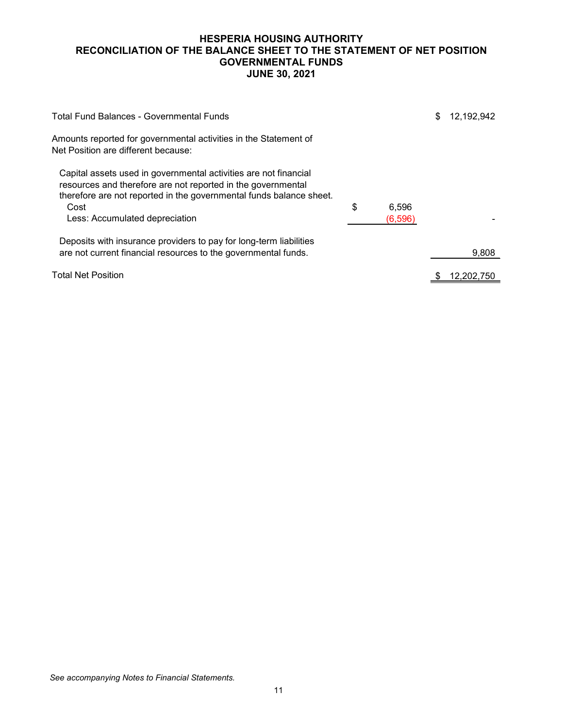### <span id="page-12-0"></span>**HESPERIA HOUSING AUTHORITY RECONCILIATION OF THE BALANCE SHEET TO THE STATEMENT OF NET POSITION GOVERNMENTAL FUNDS JUNE 30, 2021**

| <b>Total Fund Balances - Governmental Funds</b>                                                                                                                                                                                                   |                         | \$<br>12,192,942 |
|---------------------------------------------------------------------------------------------------------------------------------------------------------------------------------------------------------------------------------------------------|-------------------------|------------------|
| Amounts reported for governmental activities in the Statement of<br>Net Position are different because:                                                                                                                                           |                         |                  |
| Capital assets used in governmental activities are not financial<br>resources and therefore are not reported in the governmental<br>therefore are not reported in the governmental funds balance sheet.<br>Cost<br>Less: Accumulated depreciation | \$<br>6.596<br>(6, 596) |                  |
| Deposits with insurance providers to pay for long-term liabilities<br>are not current financial resources to the governmental funds.                                                                                                              |                         | 9,808            |
| <b>Total Net Position</b>                                                                                                                                                                                                                         |                         | 12,202,750       |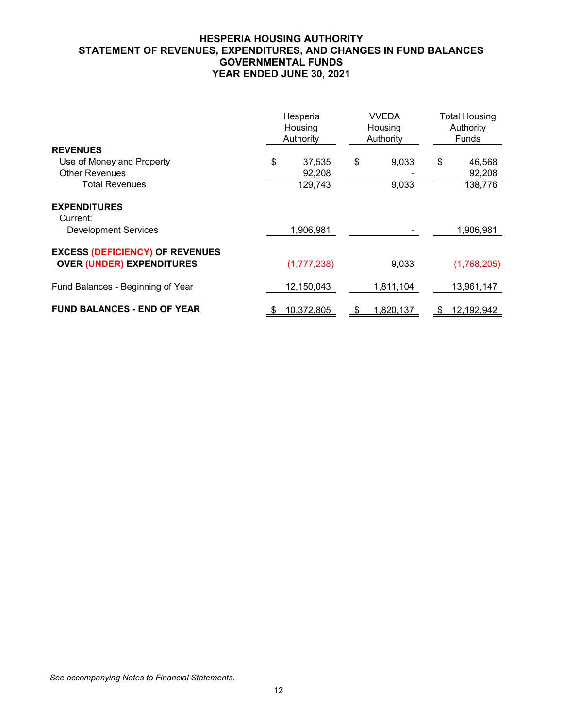### <span id="page-13-0"></span>**HESPERIA HOUSING AUTHORITY STATEMENT OF REVENUES, EXPENDITURES, AND CHANGES IN FUND BALANCES GOVERNMENTAL FUNDS YEAR ENDED JUNE 30, 2021**

|                                        | Hesperia<br>Housing<br>Authority |             | <b>VVEDA</b><br>Housing<br>Authority |    | <b>Total Housing</b><br>Authority<br><b>Funds</b> |
|----------------------------------------|----------------------------------|-------------|--------------------------------------|----|---------------------------------------------------|
| <b>REVENUES</b>                        |                                  |             |                                      |    |                                                   |
| Use of Money and Property              | \$                               | 37,535      | \$<br>9.033                          | \$ | 46,568                                            |
| <b>Other Revenues</b>                  |                                  | 92,208      |                                      |    | 92,208                                            |
| <b>Total Revenues</b>                  |                                  | 129,743     | 9,033                                |    | 138,776                                           |
| <b>EXPENDITURES</b><br>Current:        |                                  |             |                                      |    |                                                   |
| <b>Development Services</b>            |                                  | 1,906,981   |                                      |    | 1,906,981                                         |
| <b>EXCESS (DEFICIENCY) OF REVENUES</b> |                                  |             |                                      |    |                                                   |
| <b>OVER (UNDER) EXPENDITURES</b>       |                                  | (1,777,238) | 9,033                                |    | (1,768,205)                                       |
| Fund Balances - Beginning of Year      |                                  | 12,150,043  | 1,811,104                            |    | 13,961,147                                        |
| <b>FUND BALANCES - END OF YEAR</b>     |                                  | 10,372,805  | 1,820,137                            | S  | 12,192,942                                        |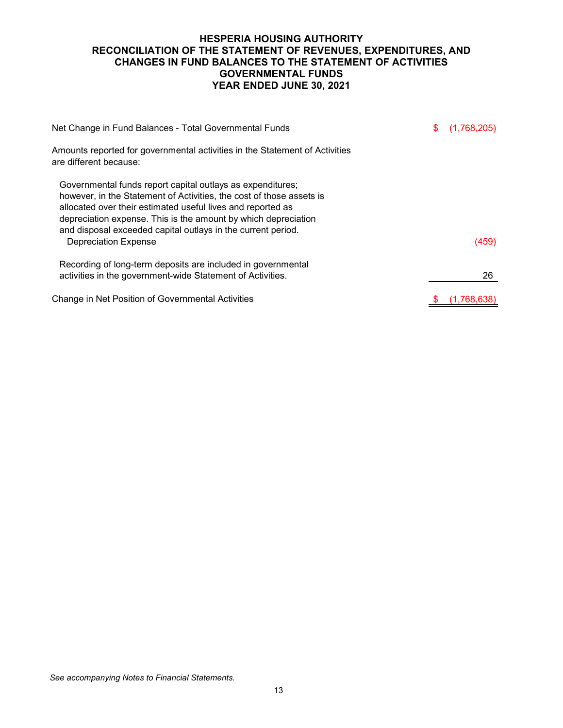### <span id="page-14-0"></span>**HESPERIA HOUSING AUTHORITY RECONCILIATION OF THE STATEMENT OF REVENUES, EXPENDITURES, AND CHANGES IN FUND BALANCES TO THE STATEMENT OF ACTIVITIES GOVERNMENTAL FUNDS YEAR ENDED JUNE 30, 2021**

| Net Change in Fund Balances - Total Governmental Funds                                                                                                                                                                                                                                                                              | \$. | (1,768,205) |
|-------------------------------------------------------------------------------------------------------------------------------------------------------------------------------------------------------------------------------------------------------------------------------------------------------------------------------------|-----|-------------|
| Amounts reported for governmental activities in the Statement of Activities<br>are different because:                                                                                                                                                                                                                               |     |             |
| Governmental funds report capital outlays as expenditures;<br>however, in the Statement of Activities, the cost of those assets is<br>allocated over their estimated useful lives and reported as<br>depreciation expense. This is the amount by which depreciation<br>and disposal exceeded capital outlays in the current period. |     |             |
| <b>Depreciation Expense</b>                                                                                                                                                                                                                                                                                                         |     | (459)       |
| Recording of long-term deposits are included in governmental<br>activities in the government-wide Statement of Activities.                                                                                                                                                                                                          |     | 26          |
| Change in Net Position of Governmental Activities                                                                                                                                                                                                                                                                                   |     | (1,768,638) |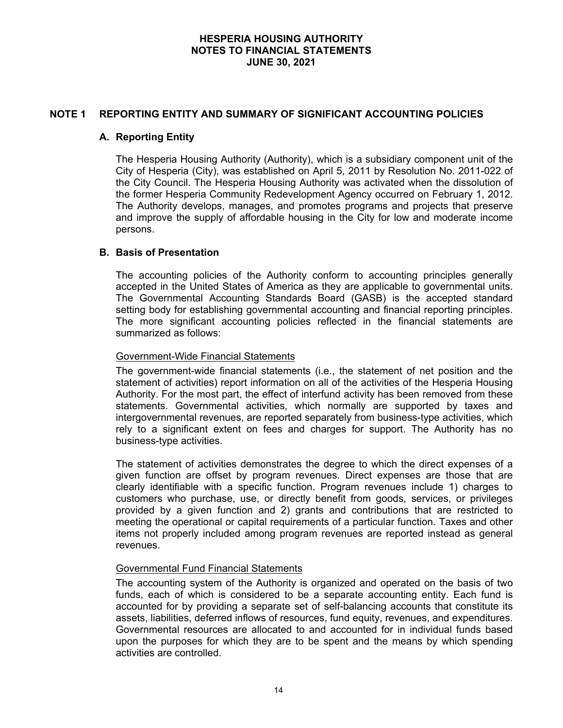### <span id="page-15-0"></span>**NOTE 1 REPORTING ENTITY AND SUMMARY OF SIGNIFICANT ACCOUNTING POLICIES**

### **A. Reporting Entity**

The Hesperia Housing Authority (Authority), which is a subsidiary component unit of the City of Hesperia (City), was established on April 5, 2011 by Resolution No. 2011-022 of the City Council. The Hesperia Housing Authority was activated when the dissolution of the former Hesperia Community Redevelopment Agency occurred on February 1, 2012. The Authority develops, manages, and promotes programs and projects that preserve and improve the supply of affordable housing in the City for low and moderate income persons.

### **B. Basis of Presentation**

The accounting policies of the Authority conform to accounting principles generally accepted in the United States of America as they are applicable to governmental units. The Governmental Accounting Standards Board (GASB) is the accepted standard setting body for establishing governmental accounting and financial reporting principles. The more significant accounting policies reflected in the financial statements are summarized as follows:

### Government-Wide Financial Statements

The government-wide financial statements (i.e., the statement of net position and the statement of activities) report information on all of the activities of the Hesperia Housing Authority. For the most part, the effect of interfund activity has been removed from these statements. Governmental activities, which normally are supported by taxes and intergovernmental revenues, are reported separately from business-type activities, which rely to a significant extent on fees and charges for support. The Authority has no business-type activities.

The statement of activities demonstrates the degree to which the direct expenses of a given function are offset by program revenues. Direct expenses are those that are clearly identifiable with a specific function. Program revenues include 1) charges to customers who purchase, use, or directly benefit from goods, services, or privileges provided by a given function and 2) grants and contributions that are restricted to meeting the operational or capital requirements of a particular function. Taxes and other items not properly included among program revenues are reported instead as general revenues.

#### Governmental Fund Financial Statements

The accounting system of the Authority is organized and operated on the basis of two funds, each of which is considered to be a separate accounting entity. Each fund is accounted for by providing a separate set of self-balancing accounts that constitute its assets, liabilities, deferred inflows of resources, fund equity, revenues, and expenditures. Governmental resources are allocated to and accounted for in individual funds based upon the purposes for which they are to be spent and the means by which spending activities are controlled.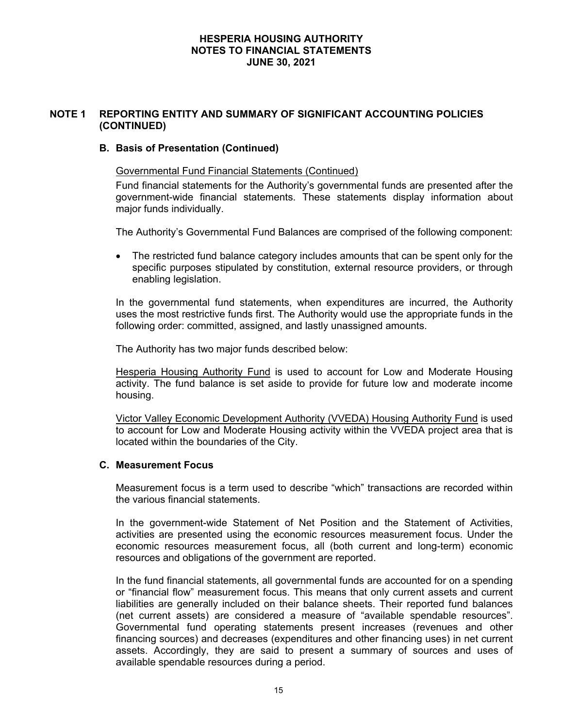### **NOTE 1 REPORTING ENTITY AND SUMMARY OF SIGNIFICANT ACCOUNTING POLICIES (CONTINUED)**

#### **B. Basis of Presentation (Continued)**

Governmental Fund Financial Statements (Continued)

Fund financial statements for the Authority's governmental funds are presented after the government-wide financial statements. These statements display information about major funds individually.

The Authority's Governmental Fund Balances are comprised of the following component:

 The restricted fund balance category includes amounts that can be spent only for the specific purposes stipulated by constitution, external resource providers, or through enabling legislation.

In the governmental fund statements, when expenditures are incurred, the Authority uses the most restrictive funds first. The Authority would use the appropriate funds in the following order: committed, assigned, and lastly unassigned amounts.

The Authority has two major funds described below:

Hesperia Housing Authority Fund is used to account for Low and Moderate Housing activity. The fund balance is set aside to provide for future low and moderate income housing.

Victor Valley Economic Development Authority (VVEDA) Housing Authority Fund is used to account for Low and Moderate Housing activity within the VVEDA project area that is located within the boundaries of the City.

### **C. Measurement Focus**

Measurement focus is a term used to describe "which" transactions are recorded within the various financial statements.

In the government-wide Statement of Net Position and the Statement of Activities, activities are presented using the economic resources measurement focus. Under the economic resources measurement focus, all (both current and long-term) economic resources and obligations of the government are reported.

In the fund financial statements, all governmental funds are accounted for on a spending or "financial flow" measurement focus. This means that only current assets and current liabilities are generally included on their balance sheets. Their reported fund balances (net current assets) are considered a measure of "available spendable resources". Governmental fund operating statements present increases (revenues and other financing sources) and decreases (expenditures and other financing uses) in net current assets. Accordingly, they are said to present a summary of sources and uses of available spendable resources during a period.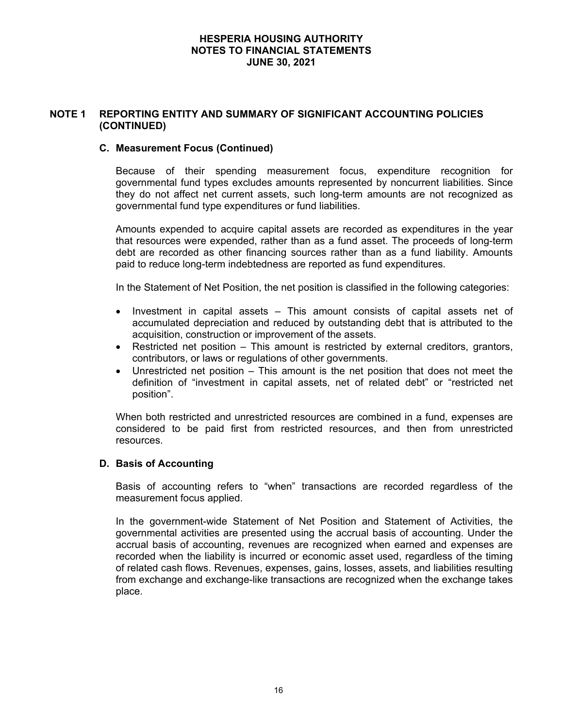### **NOTE 1 REPORTING ENTITY AND SUMMARY OF SIGNIFICANT ACCOUNTING POLICIES (CONTINUED)**

### **C. Measurement Focus (Continued)**

Because of their spending measurement focus, expenditure recognition for governmental fund types excludes amounts represented by noncurrent liabilities. Since they do not affect net current assets, such long-term amounts are not recognized as governmental fund type expenditures or fund liabilities.

Amounts expended to acquire capital assets are recorded as expenditures in the year that resources were expended, rather than as a fund asset. The proceeds of long-term debt are recorded as other financing sources rather than as a fund liability. Amounts paid to reduce long-term indebtedness are reported as fund expenditures.

In the Statement of Net Position, the net position is classified in the following categories:

- Investment in capital assets This amount consists of capital assets net of accumulated depreciation and reduced by outstanding debt that is attributed to the acquisition, construction or improvement of the assets.
- Restricted net position This amount is restricted by external creditors, grantors, contributors, or laws or regulations of other governments.
- Unrestricted net position This amount is the net position that does not meet the definition of "investment in capital assets, net of related debt" or "restricted net position".

When both restricted and unrestricted resources are combined in a fund, expenses are considered to be paid first from restricted resources, and then from unrestricted resources.

### **D. Basis of Accounting**

Basis of accounting refers to "when" transactions are recorded regardless of the measurement focus applied.

In the government-wide Statement of Net Position and Statement of Activities, the governmental activities are presented using the accrual basis of accounting. Under the accrual basis of accounting, revenues are recognized when earned and expenses are recorded when the liability is incurred or economic asset used, regardless of the timing of related cash flows. Revenues, expenses, gains, losses, assets, and liabilities resulting from exchange and exchange-like transactions are recognized when the exchange takes place.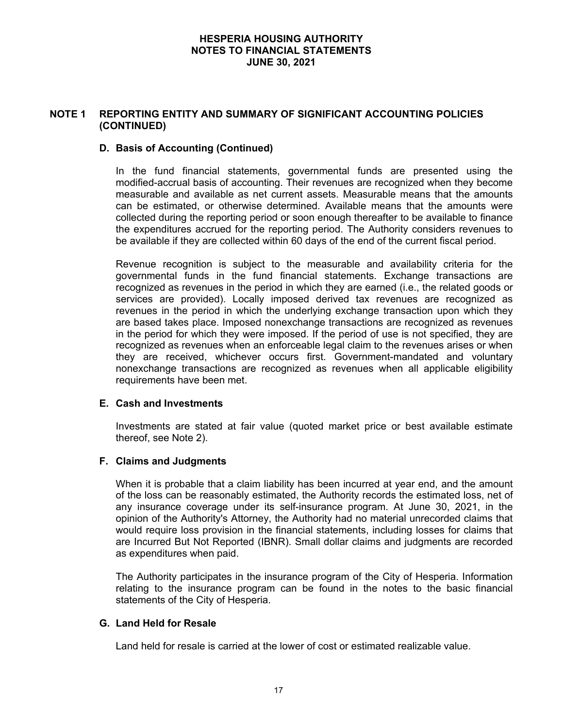### **NOTE 1 REPORTING ENTITY AND SUMMARY OF SIGNIFICANT ACCOUNTING POLICIES (CONTINUED)**

### **D. Basis of Accounting (Continued)**

In the fund financial statements, governmental funds are presented using the modified-accrual basis of accounting. Their revenues are recognized when they become measurable and available as net current assets. Measurable means that the amounts can be estimated, or otherwise determined. Available means that the amounts were collected during the reporting period or soon enough thereafter to be available to finance the expenditures accrued for the reporting period. The Authority considers revenues to be available if they are collected within 60 days of the end of the current fiscal period.

Revenue recognition is subject to the measurable and availability criteria for the governmental funds in the fund financial statements. Exchange transactions are recognized as revenues in the period in which they are earned (i.e., the related goods or services are provided). Locally imposed derived tax revenues are recognized as revenues in the period in which the underlying exchange transaction upon which they are based takes place. Imposed nonexchange transactions are recognized as revenues in the period for which they were imposed. If the period of use is not specified, they are recognized as revenues when an enforceable legal claim to the revenues arises or when they are received, whichever occurs first. Government-mandated and voluntary nonexchange transactions are recognized as revenues when all applicable eligibility requirements have been met.

#### **E. Cash and Investments**

Investments are stated at fair value (quoted market price or best available estimate thereof, see Note 2).

### **F. Claims and Judgments**

When it is probable that a claim liability has been incurred at year end, and the amount of the loss can be reasonably estimated, the Authority records the estimated loss, net of any insurance coverage under its self-insurance program. At June 30, 2021, in the opinion of the Authority's Attorney, the Authority had no material unrecorded claims that would require loss provision in the financial statements, including losses for claims that are Incurred But Not Reported (IBNR). Small dollar claims and judgments are recorded as expenditures when paid.

The Authority participates in the insurance program of the City of Hesperia. Information relating to the insurance program can be found in the notes to the basic financial statements of the City of Hesperia.

#### **G. Land Held for Resale**

Land held for resale is carried at the lower of cost or estimated realizable value.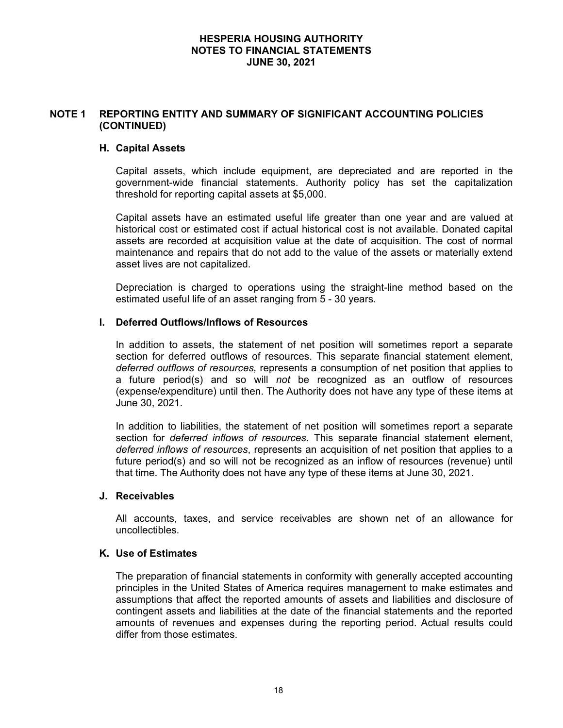### **NOTE 1 REPORTING ENTITY AND SUMMARY OF SIGNIFICANT ACCOUNTING POLICIES (CONTINUED)**

### **H. Capital Assets**

Capital assets, which include equipment, are depreciated and are reported in the government-wide financial statements. Authority policy has set the capitalization threshold for reporting capital assets at \$5,000.

Capital assets have an estimated useful life greater than one year and are valued at historical cost or estimated cost if actual historical cost is not available. Donated capital assets are recorded at acquisition value at the date of acquisition. The cost of normal maintenance and repairs that do not add to the value of the assets or materially extend asset lives are not capitalized.

Depreciation is charged to operations using the straight-line method based on the estimated useful life of an asset ranging from 5 - 30 years.

### **I. Deferred Outflows/Inflows of Resources**

In addition to assets, the statement of net position will sometimes report a separate section for deferred outflows of resources. This separate financial statement element, *deferred outflows of resources,* represents a consumption of net position that applies to a future period(s) and so will *not* be recognized as an outflow of resources (expense/expenditure) until then. The Authority does not have any type of these items at June 30, 2021.

In addition to liabilities, the statement of net position will sometimes report a separate section for *deferred inflows of resources*. This separate financial statement element, *deferred inflows of resources*, represents an acquisition of net position that applies to a future period(s) and so will not be recognized as an inflow of resources (revenue) until that time. The Authority does not have any type of these items at June 30, 2021.

### **J. Receivables**

All accounts, taxes, and service receivables are shown net of an allowance for uncollectibles.

#### **K. Use of Estimates**

The preparation of financial statements in conformity with generally accepted accounting principles in the United States of America requires management to make estimates and assumptions that affect the reported amounts of assets and liabilities and disclosure of contingent assets and liabilities at the date of the financial statements and the reported amounts of revenues and expenses during the reporting period. Actual results could differ from those estimates.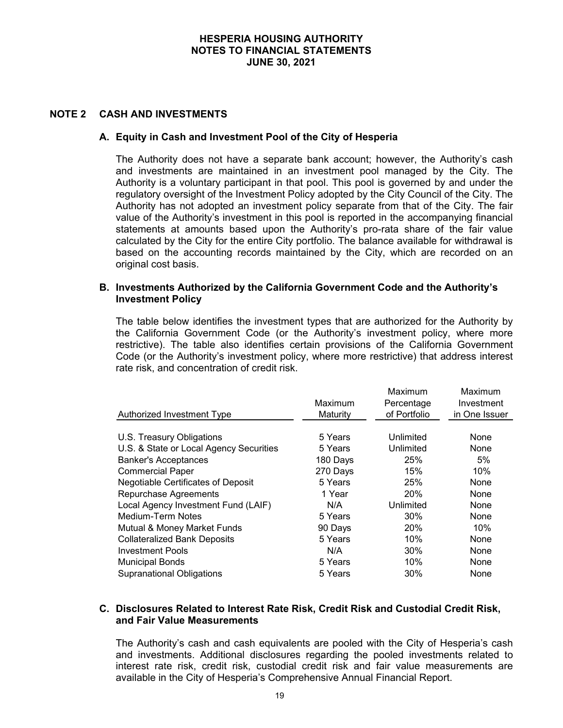#### **NOTE 2 CASH AND INVESTMENTS**

#### **A. Equity in Cash and Investment Pool of the City of Hesperia**

The Authority does not have a separate bank account; however, the Authority's cash and investments are maintained in an investment pool managed by the City. The Authority is a voluntary participant in that pool. This pool is governed by and under the regulatory oversight of the Investment Policy adopted by the City Council of the City. The Authority has not adopted an investment policy separate from that of the City. The fair value of the Authority's investment in this pool is reported in the accompanying financial statements at amounts based upon the Authority's pro-rata share of the fair value calculated by the City for the entire City portfolio. The balance available for withdrawal is based on the accounting records maintained by the City, which are recorded on an original cost basis.

#### **B. Investments Authorized by the California Government Code and the Authority's Investment Policy**

The table below identifies the investment types that are authorized for the Authority by the California Government Code (or the Authority's investment policy, where more restrictive). The table also identifies certain provisions of the California Government Code (or the Authority's investment policy, where more restrictive) that address interest rate risk, and concentration of credit risk.

|                                         |          | Maximum      | Maximum       |
|-----------------------------------------|----------|--------------|---------------|
|                                         | Maximum  | Percentage   | Investment    |
| Authorized Investment Type              | Maturity | of Portfolio | in One Issuer |
|                                         |          |              |               |
| U.S. Treasury Obligations               | 5 Years  | Unlimited    | None          |
| U.S. & State or Local Agency Securities | 5 Years  | Unlimited    | None          |
| <b>Banker's Acceptances</b>             | 180 Days | 25%          | 5%            |
| <b>Commercial Paper</b>                 | 270 Days | 15%          | 10%           |
| Negotiable Certificates of Deposit      | 5 Years  | 25%          | None          |
| Repurchase Agreements                   | 1 Year   | 20%          | None          |
| Local Agency Investment Fund (LAIF)     | N/A      | Unlimited    | None          |
| Medium-Term Notes                       | 5 Years  | 30%          | None          |
| Mutual & Money Market Funds             | 90 Days  | 20%          | 10%           |
| <b>Collateralized Bank Deposits</b>     | 5 Years  | 10%          | None          |
| <b>Investment Pools</b>                 | N/A      | 30%          | None          |
| <b>Municipal Bonds</b>                  | 5 Years  | 10%          | None          |
| <b>Supranational Obligations</b>        | 5 Years  | 30%          | None          |

### **C. Disclosures Related to Interest Rate Risk, Credit Risk and Custodial Credit Risk, and Fair Value Measurements**

The Authority's cash and cash equivalents are pooled with the City of Hesperia's cash and investments. Additional disclosures regarding the pooled investments related to interest rate risk, credit risk, custodial credit risk and fair value measurements are available in the City of Hesperia's Comprehensive Annual Financial Report.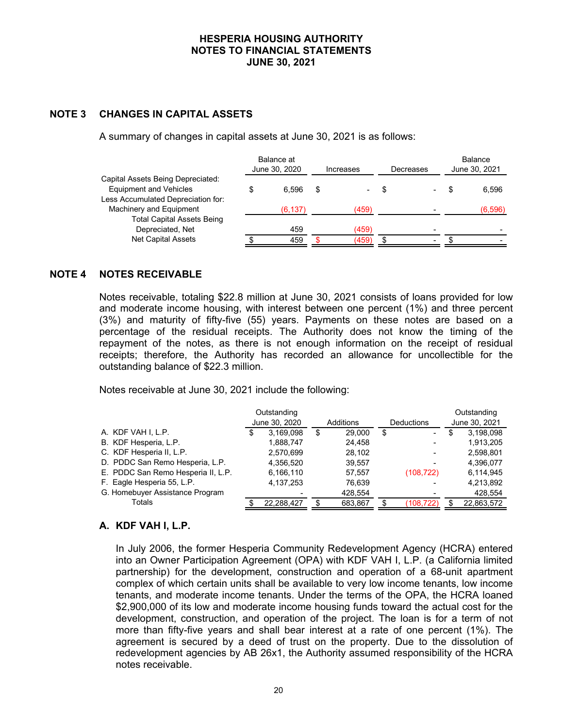### **NOTE 3 CHANGES IN CAPITAL ASSETS**

A summary of changes in capital assets at June 30, 2021 is as follows:

|                                    | Balance at<br>June 30, 2020 | Increases |   | Decreases | Balance<br>June 30, 2021 |
|------------------------------------|-----------------------------|-----------|---|-----------|--------------------------|
| Capital Assets Being Depreciated:  |                             |           |   |           |                          |
| <b>Equipment and Vehicles</b>      | 6.596                       | \$        | S |           | 6.596                    |
| Less Accumulated Depreciation for: |                             |           |   |           |                          |
| Machinery and Equipment            | (6,137)                     | (459)     |   |           | (6, 596)                 |
| <b>Total Capital Assets Being</b>  |                             |           |   |           |                          |
| Depreciated, Net                   | 459                         | (459)     |   |           |                          |
| <b>Net Capital Assets</b>          | 459                         | (459)     |   |           |                          |

#### **NOTE 4 NOTES RECEIVABLE**

Notes receivable, totaling \$22.8 million at June 30, 2021 consists of loans provided for low and moderate income housing, with interest between one percent (1%) and three percent (3%) and maturity of fifty-five (55) years. Payments on these notes are based on a percentage of the residual receipts. The Authority does not know the timing of the repayment of the notes, as there is not enough information on the receipt of residual receipts; therefore, the Authority has recorded an allowance for uncollectible for the outstanding balance of \$22.3 million.

Notes receivable at June 30, 2021 include the following:

|                                    | Outstanding   |            |           |         |                   |            | Outstanding   |            |
|------------------------------------|---------------|------------|-----------|---------|-------------------|------------|---------------|------------|
|                                    | June 30, 2020 |            | Additions |         | <b>Deductions</b> |            | June 30, 2021 |            |
| A. KDF VAH I, L.P.                 | S             | 3,169,098  | \$        | 29.000  | \$                | ٠          | \$            | 3,198,098  |
| B. KDF Hesperia, L.P.              |               | 1,888,747  |           | 24,458  |                   | -          |               | 1,913,205  |
| C. KDF Hesperia II, L.P.           |               | 2,570,699  |           | 28,102  |                   |            |               | 2,598,801  |
| D. PDDC San Remo Hesperia, L.P.    |               | 4,356,520  |           | 39,557  |                   | -          |               | 4,396,077  |
| E. PDDC San Remo Hesperia II, L.P. |               | 6,166,110  |           | 57.557  |                   | (108, 722) |               | 6,114,945  |
| F. Eagle Hesperia 55, L.P.         |               | 4,137,253  |           | 76.639  |                   |            |               | 4,213,892  |
| G. Homebuyer Assistance Program    |               |            |           | 428,554 |                   |            |               | 428,554    |
| Totals                             |               | 22.288.427 |           | 683.867 | \$                | 108,722)   |               | 22,863,572 |

### **A. KDF VAH I, L.P.**

In July 2006, the former Hesperia Community Redevelopment Agency (HCRA) entered into an Owner Participation Agreement (OPA) with KDF VAH I, L.P. (a California limited partnership) for the development, construction and operation of a 68-unit apartment complex of which certain units shall be available to very low income tenants, low income tenants, and moderate income tenants. Under the terms of the OPA, the HCRA loaned \$2,900,000 of its low and moderate income housing funds toward the actual cost for the development, construction, and operation of the project. The loan is for a term of not more than fifty-five years and shall bear interest at a rate of one percent (1%). The agreement is secured by a deed of trust on the property. Due to the dissolution of redevelopment agencies by AB 26x1, the Authority assumed responsibility of the HCRA notes receivable.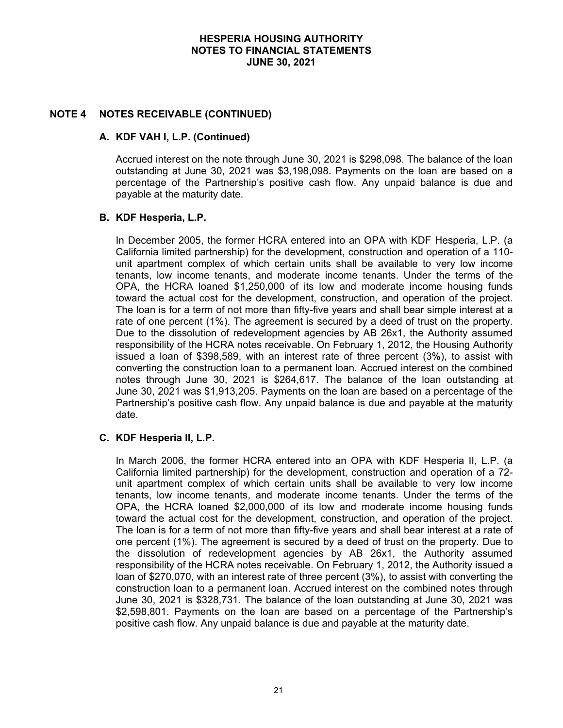### **NOTE 4 NOTES RECEIVABLE (CONTINUED)**

### **A. KDF VAH I, L.P. (Continued)**

Accrued interest on the note through June 30, 2021 is \$298,098. The balance of the loan outstanding at June 30, 2021 was \$3,198,098. Payments on the loan are based on a percentage of the Partnership's positive cash flow. Any unpaid balance is due and payable at the maturity date.

# **B. KDF Hesperia, L.P.**

In December 2005, the former HCRA entered into an OPA with KDF Hesperia, L.P. (a California limited partnership) for the development, construction and operation of a 110 unit apartment complex of which certain units shall be available to very low income tenants, low income tenants, and moderate income tenants. Under the terms of the OPA, the HCRA loaned \$1,250,000 of its low and moderate income housing funds toward the actual cost for the development, construction, and operation of the project. The loan is for a term of not more than fifty-five years and shall bear simple interest at a rate of one percent (1%). The agreement is secured by a deed of trust on the property. Due to the dissolution of redevelopment agencies by AB 26x1, the Authority assumed responsibility of the HCRA notes receivable. On February 1, 2012, the Housing Authority issued a loan of \$398,589, with an interest rate of three percent (3%), to assist with converting the construction loan to a permanent loan. Accrued interest on the combined notes through June 30, 2021 is \$264,617. The balance of the loan outstanding at June 30, 2021 was \$1,913,205. Payments on the loan are based on a percentage of the Partnership's positive cash flow. Any unpaid balance is due and payable at the maturity date.

### **C. KDF Hesperia II, L.P.**

In March 2006, the former HCRA entered into an OPA with KDF Hesperia II, L.P. (a California limited partnership) for the development, construction and operation of a 72 unit apartment complex of which certain units shall be available to very low income tenants, low income tenants, and moderate income tenants. Under the terms of the OPA, the HCRA loaned \$2,000,000 of its low and moderate income housing funds toward the actual cost for the development, construction, and operation of the project. The loan is for a term of not more than fifty-five years and shall bear interest at a rate of one percent (1%). The agreement is secured by a deed of trust on the property. Due to the dissolution of redevelopment agencies by AB 26x1, the Authority assumed responsibility of the HCRA notes receivable. On February 1, 2012, the Authority issued a loan of \$270,070, with an interest rate of three percent (3%), to assist with converting the construction loan to a permanent loan. Accrued interest on the combined notes through June 30, 2021 is \$328,731. The balance of the loan outstanding at June 30, 2021 was \$2,598,801. Payments on the loan are based on a percentage of the Partnership's positive cash flow. Any unpaid balance is due and payable at the maturity date.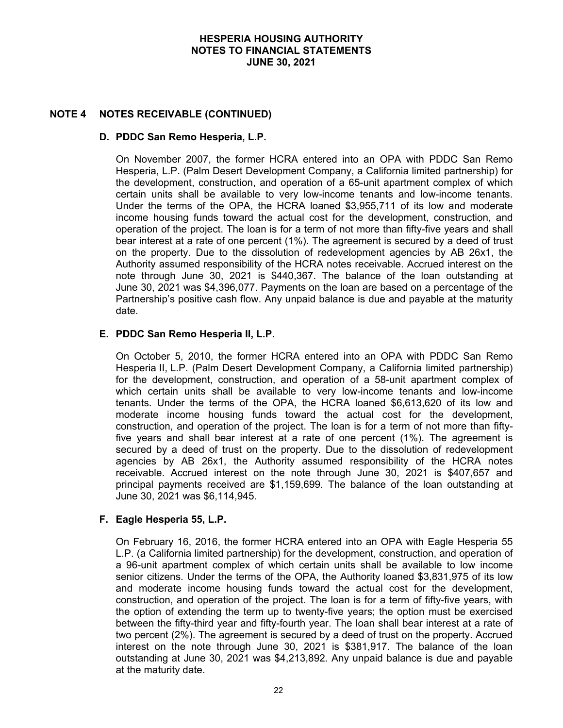### **NOTE 4 NOTES RECEIVABLE (CONTINUED)**

#### **D. PDDC San Remo Hesperia, L.P.**

On November 2007, the former HCRA entered into an OPA with PDDC San Remo Hesperia, L.P. (Palm Desert Development Company, a California limited partnership) for the development, construction, and operation of a 65-unit apartment complex of which certain units shall be available to very low-income tenants and low-income tenants. Under the terms of the OPA, the HCRA loaned \$3,955,711 of its low and moderate income housing funds toward the actual cost for the development, construction, and operation of the project. The loan is for a term of not more than fifty-five years and shall bear interest at a rate of one percent (1%). The agreement is secured by a deed of trust on the property. Due to the dissolution of redevelopment agencies by AB 26x1, the Authority assumed responsibility of the HCRA notes receivable. Accrued interest on the note through June 30, 2021 is \$440,367. The balance of the loan outstanding at June 30, 2021 was \$4,396,077. Payments on the loan are based on a percentage of the Partnership's positive cash flow. Any unpaid balance is due and payable at the maturity date.

# **E. PDDC San Remo Hesperia II, L.P.**

On October 5, 2010, the former HCRA entered into an OPA with PDDC San Remo Hesperia II, L.P. (Palm Desert Development Company, a California limited partnership) for the development, construction, and operation of a 58-unit apartment complex of which certain units shall be available to very low-income tenants and low-income tenants. Under the terms of the OPA, the HCRA loaned \$6,613,620 of its low and moderate income housing funds toward the actual cost for the development, construction, and operation of the project. The loan is for a term of not more than fiftyfive years and shall bear interest at a rate of one percent (1%). The agreement is secured by a deed of trust on the property. Due to the dissolution of redevelopment agencies by AB 26x1, the Authority assumed responsibility of the HCRA notes receivable. Accrued interest on the note through June 30, 2021 is \$407,657 and principal payments received are \$1,159,699. The balance of the loan outstanding at June 30, 2021 was \$6,114,945.

### **F. Eagle Hesperia 55, L.P.**

On February 16, 2016, the former HCRA entered into an OPA with Eagle Hesperia 55 L.P. (a California limited partnership) for the development, construction, and operation of a 96-unit apartment complex of which certain units shall be available to low income senior citizens. Under the terms of the OPA, the Authority loaned \$3,831,975 of its low and moderate income housing funds toward the actual cost for the development, construction, and operation of the project. The loan is for a term of fifty-five years, with the option of extending the term up to twenty-five years; the option must be exercised between the fifty-third year and fifty-fourth year. The loan shall bear interest at a rate of two percent (2%). The agreement is secured by a deed of trust on the property. Accrued interest on the note through June 30, 2021 is \$381,917. The balance of the loan outstanding at June 30, 2021 was \$4,213,892. Any unpaid balance is due and payable at the maturity date.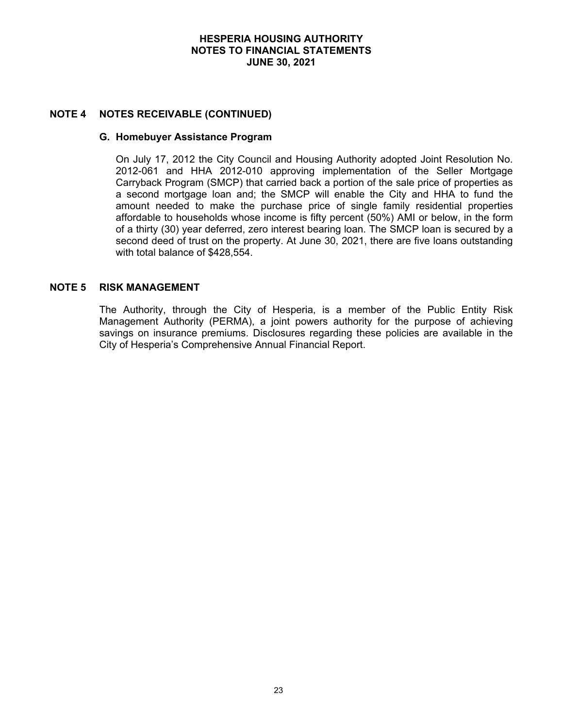### **NOTE 4 NOTES RECEIVABLE (CONTINUED)**

#### **G. Homebuyer Assistance Program**

On July 17, 2012 the City Council and Housing Authority adopted Joint Resolution No. 2012-061 and HHA 2012-010 approving implementation of the Seller Mortgage Carryback Program (SMCP) that carried back a portion of the sale price of properties as a second mortgage loan and; the SMCP will enable the City and HHA to fund the amount needed to make the purchase price of single family residential properties affordable to households whose income is fifty percent (50%) AMI or below, in the form of a thirty (30) year deferred, zero interest bearing loan. The SMCP loan is secured by a second deed of trust on the property. At June 30, 2021, there are five loans outstanding with total balance of \$428,554.

#### **NOTE 5 RISK MANAGEMENT**

The Authority, through the City of Hesperia, is a member of the Public Entity Risk Management Authority (PERMA), a joint powers authority for the purpose of achieving savings on insurance premiums. Disclosures regarding these policies are available in the City of Hesperia's Comprehensive Annual Financial Report.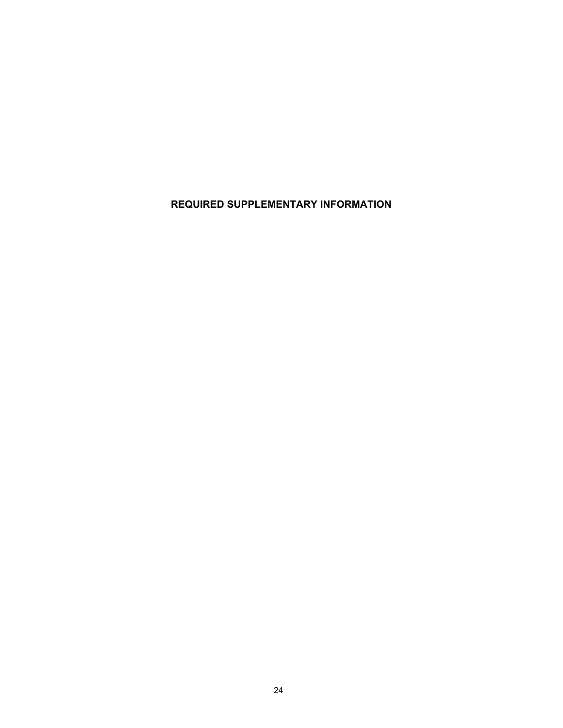**REQUIRED SUPPLEMENTARY INFORMATION**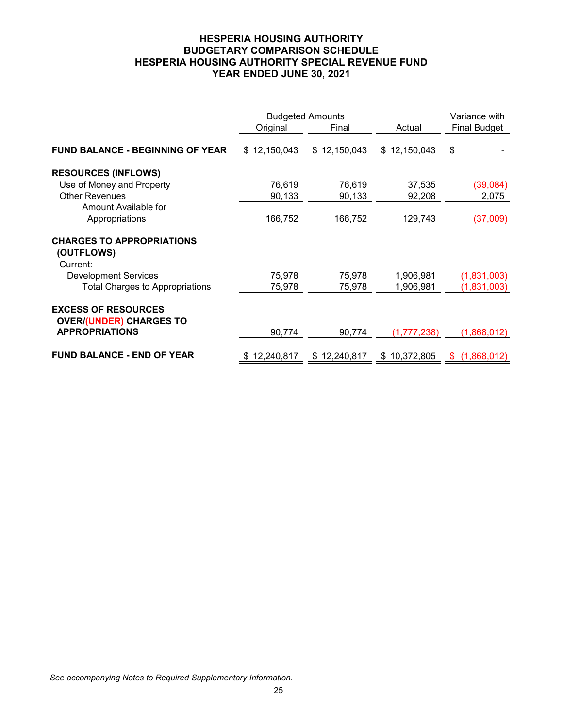### **HESPERIA HOUSING AUTHORITY BUDGETARY COMPARISON SCHEDULE HESPERIA HOUSING AUTHORITY SPECIAL REVENUE FUND YEAR ENDED JUNE 30, 2021**

<span id="page-26-0"></span>

|                                                                                       |              | <b>Budgeted Amounts</b> |              | Variance with       |  |
|---------------------------------------------------------------------------------------|--------------|-------------------------|--------------|---------------------|--|
|                                                                                       | Original     | Final                   | Actual       | <b>Final Budget</b> |  |
| <b>FUND BALANCE - BEGINNING OF YEAR</b>                                               | \$12,150,043 | \$12,150,043            | \$12,150,043 | \$                  |  |
| <b>RESOURCES (INFLOWS)</b>                                                            |              |                         |              |                     |  |
| Use of Money and Property                                                             | 76,619       | 76,619                  | 37,535       | (39,084)            |  |
| <b>Other Revenues</b>                                                                 | 90,133       | 90,133                  | 92,208       | 2,075               |  |
| Amount Available for                                                                  |              |                         |              |                     |  |
| Appropriations                                                                        | 166,752      | 166,752                 | 129,743      | (37,009)            |  |
| <b>CHARGES TO APPROPRIATIONS</b><br>(OUTFLOWS)<br>Current:                            |              |                         |              |                     |  |
| <b>Development Services</b>                                                           | 75,978       | 75,978                  | 1,906,981    | (1,831,003)         |  |
| <b>Total Charges to Appropriations</b>                                                | 75,978       | 75,978                  | 1,906,981    | (1,831,003)         |  |
| <b>EXCESS OF RESOURCES</b><br><b>OVER/(UNDER) CHARGES TO</b><br><b>APPROPRIATIONS</b> | 90,774       | 90,774                  | (1,777,238)  | (1,868,012)         |  |
| <b>FUND BALANCE - END OF YEAR</b>                                                     | \$12,240,817 | \$12,240,817            | \$10,372,805 | (1,868,012)<br>\$.  |  |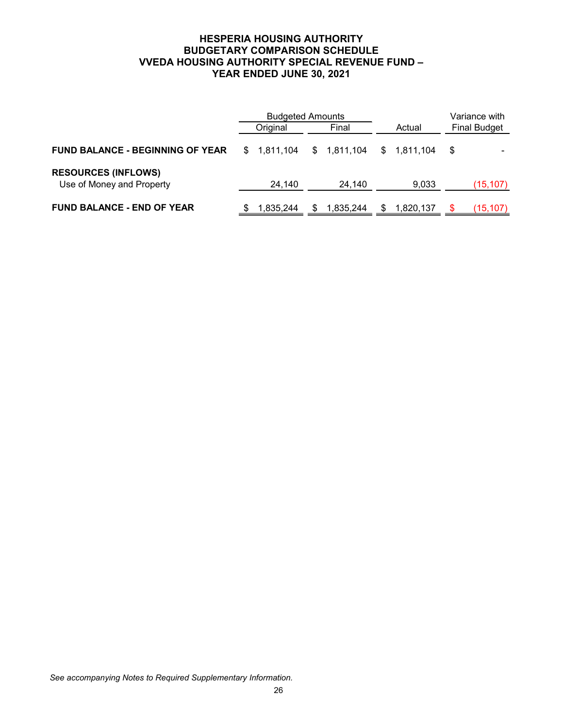### **HESPERIA HOUSING AUTHORITY BUDGETARY COMPARISON SCHEDULE VVEDA HOUSING AUTHORITY SPECIAL REVENUE FUND – YEAR ENDED JUNE 30, 2021**

<span id="page-27-0"></span>

|                                                         |                  | <b>Budgeted Amounts</b> |                 | Variance with       |  |
|---------------------------------------------------------|------------------|-------------------------|-----------------|---------------------|--|
|                                                         | Original         | Final                   | Actual          | <b>Final Budget</b> |  |
| <b>FUND BALANCE - BEGINNING OF YEAR</b>                 | 1.811.104<br>SS. | 1.811.104<br>\$         | S.<br>1.811.104 | - \$                |  |
| <b>RESOURCES (INFLOWS)</b><br>Use of Money and Property | 24,140           | 24,140                  | 9,033           | (15, 107)           |  |
| <b>FUND BALANCE - END OF YEAR</b>                       | 1,835,244        | 1,835,244               | 1.820.137       | (15,107)            |  |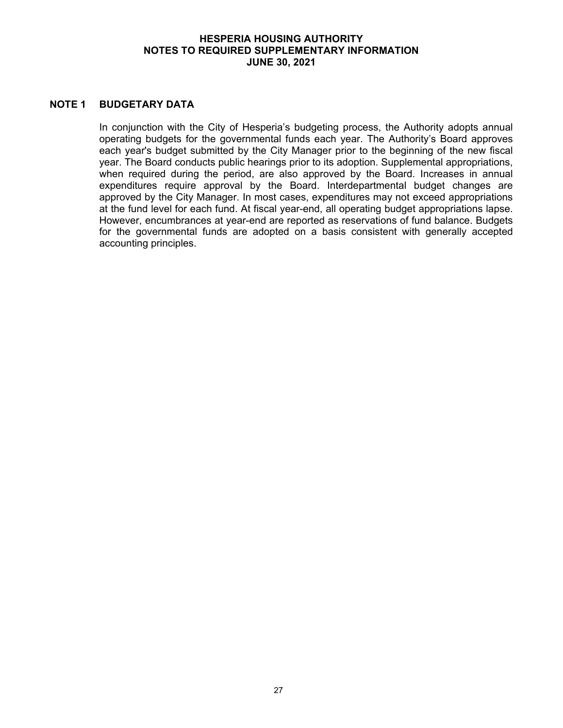### **HESPERIA HOUSING AUTHORITY NOTES TO REQUIRED SUPPLEMENTARY INFORMATION JUNE 30, 2021**

#### <span id="page-28-0"></span>**NOTE 1 BUDGETARY DATA**

In conjunction with the City of Hesperia's budgeting process, the Authority adopts annual operating budgets for the governmental funds each year. The Authority's Board approves each year's budget submitted by the City Manager prior to the beginning of the new fiscal year. The Board conducts public hearings prior to its adoption. Supplemental appropriations, when required during the period, are also approved by the Board. Increases in annual expenditures require approval by the Board. Interdepartmental budget changes are approved by the City Manager. In most cases, expenditures may not exceed appropriations at the fund level for each fund. At fiscal year-end, all operating budget appropriations lapse. However, encumbrances at year-end are reported as reservations of fund balance. Budgets for the governmental funds are adopted on a basis consistent with generally accepted accounting principles.